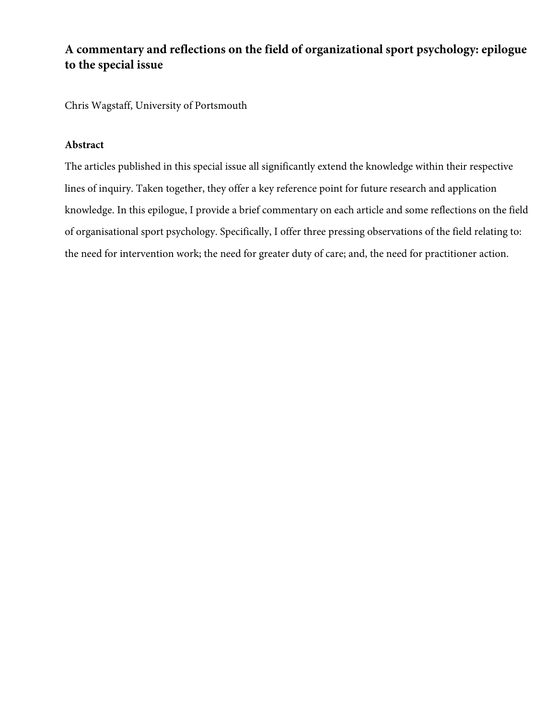# **A commentary and reflections on the field of organizational sport psychology: epilogue to the special issue**

Chris Wagstaff, University of Portsmouth

## **Abstract**

The articles published in this special issue all significantly extend the knowledge within their respective lines of inquiry. Taken together, they offer a key reference point for future research and application knowledge. In this epilogue, I provide a brief commentary on each article and some reflections on the field of organisational sport psychology. Specifically, I offer three pressing observations of the field relating to: the need for intervention work; the need for greater duty of care; and, the need for practitioner action.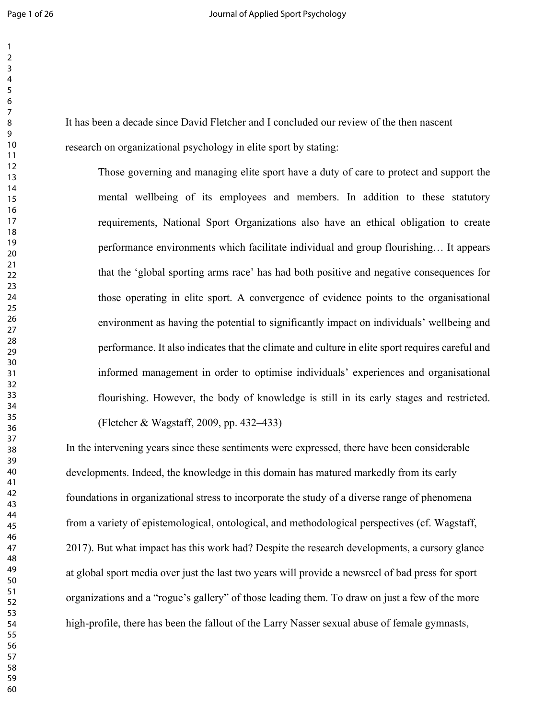It has been a decade since David Fletcher and I concluded our review of the then nascent research on organizational psychology in elite sport by stating:

> Those governing and managing elite sport have a duty of care to protect and support the mental wellbeing of its employees and members. In addition to these statutory requirements, National Sport Organizations also have an ethical obligation to create performance environments which facilitate individual and group flourishing… It appears that the 'global sporting arms race' has had both positive and negative consequences for those operating in elite sport. A convergence of evidence points to the organisational environment as having the potential to significantly impact on individuals' wellbeing and performance. It also indicates that the climate and culture in elite sport requires careful and informed management in order to optimise individuals' experiences and organisational flourishing. However, the body of knowledge is still in its early stages and restricted. (Fletcher & Wagstaff, 2009, pp. 432–433)

In the intervening years since these sentiments were expressed, there have been considerable developments. Indeed, the knowledge in this domain has matured markedly from its early foundations in organizational stress to incorporate the study of a diverse range of phenomena from a variety of epistemological, ontological, and methodological perspectives (cf. Wagstaff, 2017). But what impact has this work had? Despite the research developments, a cursory glance at global sport media over just the last two years will provide a newsreel of bad press for sport organizations and a "rogue's gallery" of those leading them. To draw on just a few of the more high-profile, there has been the fallout of the Larry Nasser sexual abuse of female gymnasts,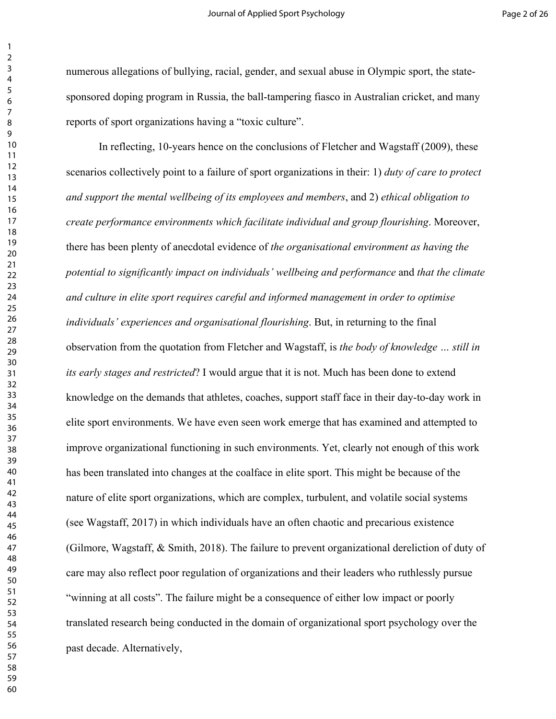numerous allegations of bullying, racial, gender, and sexual abuse in Olympic sport, the statesponsored doping program in Russia, the ball-tampering fiasco in Australian cricket, and many reports of sport organizations having a "toxic culture".

In reflecting, 10-years hence on the conclusions of Fletcher and Wagstaff (2009), these scenarios collectively point to a failure of sport organizations in their: 1) *duty of care to protect and support the mental wellbeing of its employees and members*, and 2) *ethical obligation to create performance environments which facilitate individual and group flourishing*. Moreover, there has been plenty of anecdotal evidence of *the organisational environment as having the potential to significantly impact on individuals' wellbeing and performance* and *that the climate and culture in elite sport requires careful and informed management in order to optimise individuals' experiences and organisational flourishing*. But, in returning to the final observation from the quotation from Fletcher and Wagstaff, is *the body of knowledge … still in its early stages and restricted*? I would argue that it is not. Much has been done to extend knowledge on the demands that athletes, coaches, support staff face in their day-to-day work in elite sport environments. We have even seen work emerge that has examined and attempted to improve organizational functioning in such environments. Yet, clearly not enough of this work has been translated into changes at the coalface in elite sport. This might be because of the nature of elite sport organizations, which are complex, turbulent, and volatile social systems (see Wagstaff, 2017) in which individuals have an often chaotic and precarious existence (Gilmore, Wagstaff, & Smith, 2018). The failure to prevent organizational dereliction of duty of care may also reflect poor regulation of organizations and their leaders who ruthlessly pursue "winning at all costs". The failure might be a consequence of either low impact or poorly translated research being conducted in the domain of organizational sport psychology over the past decade. Alternatively,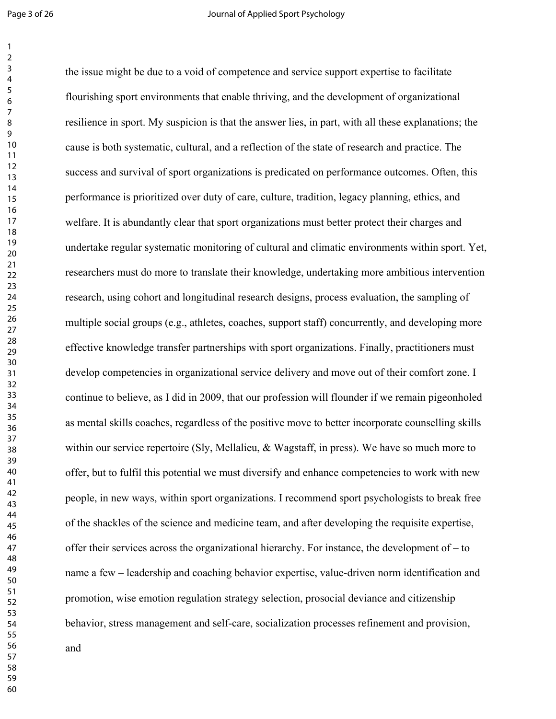the issue might be due to a void of competence and service support expertise to facilitate flourishing sport environments that enable thriving, and the development of organizational resilience in sport. My suspicion is that the answer lies, in part, with all these explanations; the cause is both systematic, cultural, and a reflection of the state of research and practice. The success and survival of sport organizations is predicated on performance outcomes. Often, this performance is prioritized over duty of care, culture, tradition, legacy planning, ethics, and welfare. It is abundantly clear that sport organizations must better protect their charges and undertake regular systematic monitoring of cultural and climatic environments within sport. Yet, researchers must do more to translate their knowledge, undertaking more ambitious intervention research, using cohort and longitudinal research designs, process evaluation, the sampling of multiple social groups (e.g., athletes, coaches, support staff) concurrently, and developing more effective knowledge transfer partnerships with sport organizations. Finally, practitioners must develop competencies in organizational service delivery and move out of their comfort zone. I continue to believe, as I did in 2009, that our profession will flounder if we remain pigeonholed as mental skills coaches, regardless of the positive move to better incorporate counselling skills within our service repertoire (Sly, Mellalieu, & Wagstaff, in press). We have so much more to offer, but to fulfil this potential we must diversify and enhance competencies to work with new people, in new ways, within sport organizations. I recommend sport psychologists to break free of the shackles of the science and medicine team, and after developing the requisite expertise, offer their services across the organizational hierarchy. For instance, the development of – to name a few – leadership and coaching behavior expertise, value-driven norm identification and promotion, wise emotion regulation strategy selection, prosocial deviance and citizenship behavior, stress management and self-care, socialization processes refinement and provision, and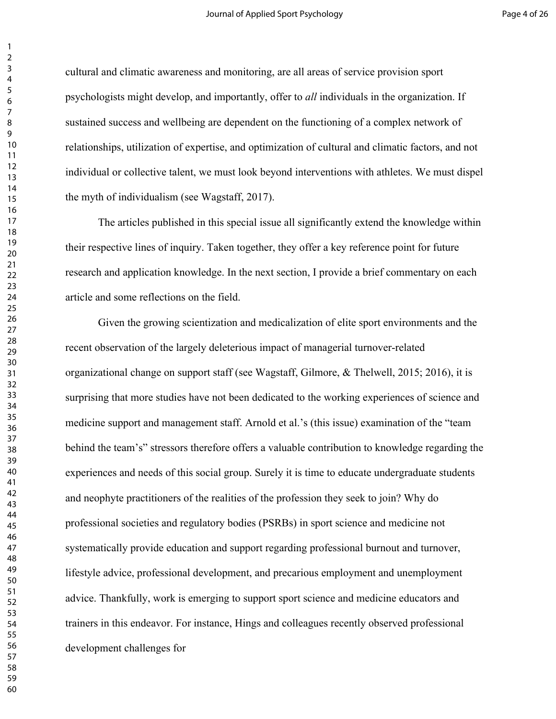cultural and climatic awareness and monitoring, are all areas of service provision sport psychologists might develop, and importantly, offer to *all* individuals in the organization. If sustained success and wellbeing are dependent on the functioning of a complex network of relationships, utilization of expertise, and optimization of cultural and climatic factors, and not individual or collective talent, we must look beyond interventions with athletes. We must dispel the myth of individualism (see Wagstaff, 2017).

The articles published in this special issue all significantly extend the knowledge within their respective lines of inquiry. Taken together, they offer a key reference point for future research and application knowledge. In the next section, I provide a brief commentary on each article and some reflections on the field.

Given the growing scientization and medicalization of elite sport environments and the recent observation of the largely deleterious impact of managerial turnover-related organizational change on support staff (see Wagstaff, Gilmore, & Thelwell, 2015; 2016), it is surprising that more studies have not been dedicated to the working experiences of science and medicine support and management staff. Arnold et al.'s (this issue) examination of the "team behind the team's" stressors therefore offers a valuable contribution to knowledge regarding the experiences and needs of this social group. Surely it is time to educate undergraduate students and neophyte practitioners of the realities of the profession they seek to join? Why do professional societies and regulatory bodies (PSRBs) in sport science and medicine not systematically provide education and support regarding professional burnout and turnover, lifestyle advice, professional development, and precarious employment and unemployment advice. Thankfully, work is emerging to support sport science and medicine educators and trainers in this endeavor. For instance, Hings and colleagues recently observed professional development challenges for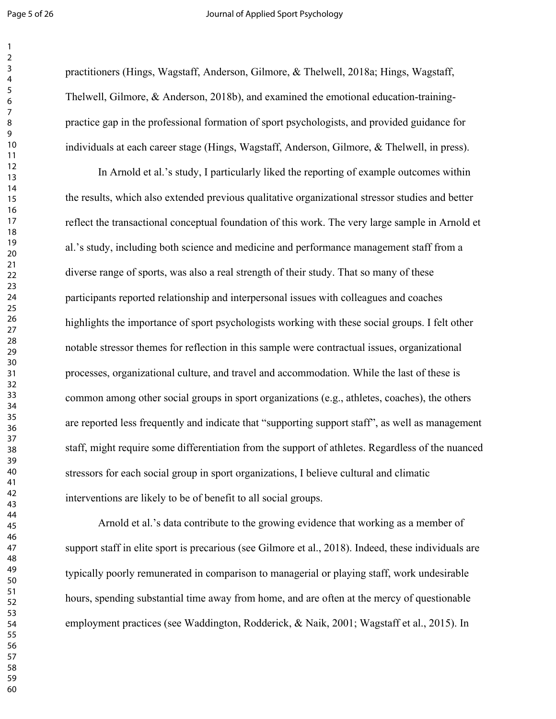#### Page 5 of 26 **Decision 20 Inches** Journal of Applied Sport Psychology

practitioners (Hings, Wagstaff, Anderson, Gilmore, & Thelwell, 2018a; Hings, Wagstaff, Thelwell, Gilmore, & Anderson, 2018b), and examined the emotional education-trainingpractice gap in the professional formation of sport psychologists, and provided guidance for individuals at each career stage (Hings, Wagstaff, Anderson, Gilmore, & Thelwell, in press).

In Arnold et al.'s study, I particularly liked the reporting of example outcomes within the results, which also extended previous qualitative organizational stressor studies and better reflect the transactional conceptual foundation of this work. The very large sample in Arnold et al.'s study, including both science and medicine and performance management staff from a diverse range of sports, was also a real strength of their study. That so many of these participants reported relationship and interpersonal issues with colleagues and coaches highlights the importance of sport psychologists working with these social groups. I felt other notable stressor themes for reflection in this sample were contractual issues, organizational processes, organizational culture, and travel and accommodation. While the last of these is common among other social groups in sport organizations (e.g., athletes, coaches), the others are reported less frequently and indicate that "supporting support staff", as well as management staff, might require some differentiation from the support of athletes. Regardless of the nuanced stressors for each social group in sport organizations, I believe cultural and climatic interventions are likely to be of benefit to all social groups.

Arnold et al.'s data contribute to the growing evidence that working as a member of support staff in elite sport is precarious (see Gilmore et al., 2018). Indeed, these individuals are typically poorly remunerated in comparison to managerial or playing staff, work undesirable hours, spending substantial time away from home, and are often at the mercy of questionable employment practices (see Waddington, Rodderick, & Naik, 2001; Wagstaff et al., 2015). In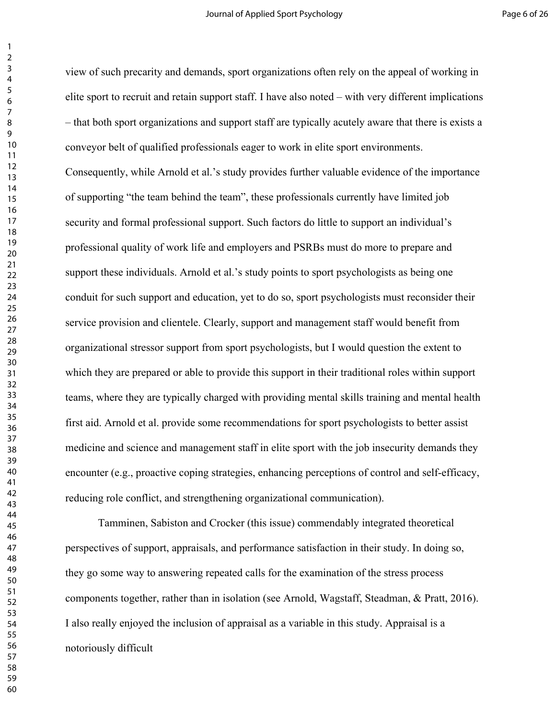view of such precarity and demands, sport organizations often rely on the appeal of working in elite sport to recruit and retain support staff. I have also noted – with very different implications – that both sport organizations and support staff are typically acutely aware that there is exists a conveyor belt of qualified professionals eager to work in elite sport environments. Consequently, while Arnold et al.'s study provides further valuable evidence of the importance of supporting "the team behind the team", these professionals currently have limited job security and formal professional support. Such factors do little to support an individual's professional quality of work life and employers and PSRBs must do more to prepare and support these individuals. Arnold et al.'s study points to sport psychologists as being one conduit for such support and education, yet to do so, sport psychologists must reconsider their service provision and clientele. Clearly, support and management staff would benefit from organizational stressor support from sport psychologists, but I would question the extent to which they are prepared or able to provide this support in their traditional roles within support teams, where they are typically charged with providing mental skills training and mental health first aid. Arnold et al. provide some recommendations for sport psychologists to better assist medicine and science and management staff in elite sport with the job insecurity demands they encounter (e.g., proactive coping strategies, enhancing perceptions of control and self-efficacy, reducing role conflict, and strengthening organizational communication).

Tamminen, Sabiston and Crocker (this issue) commendably integrated theoretical perspectives of support, appraisals, and performance satisfaction in their study. In doing so, they go some way to answering repeated calls for the examination of the stress process components together, rather than in isolation (see Arnold, Wagstaff, Steadman, & Pratt, 2016). I also really enjoyed the inclusion of appraisal as a variable in this study. Appraisal is a notoriously difficult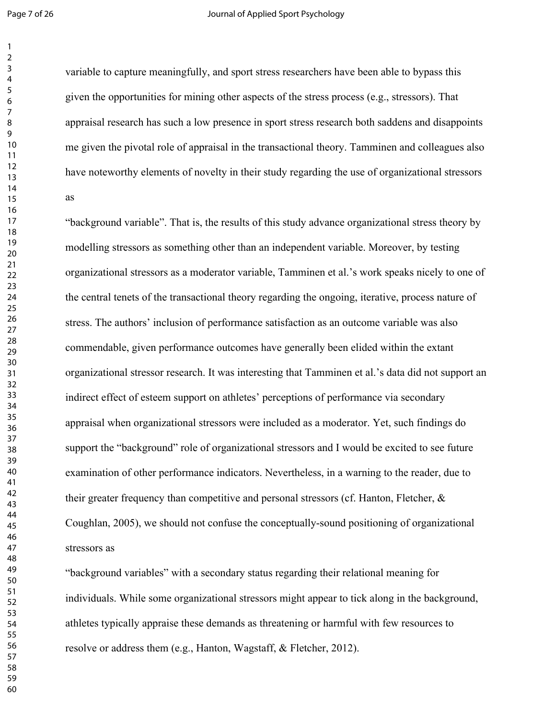#### Page 7 of 26 **Decision 20 Applied Sport Psychology**

variable to capture meaningfully, and sport stress researchers have been able to bypass this given the opportunities for mining other aspects of the stress process (e.g., stressors). That appraisal research has such a low presence in sport stress research both saddens and disappoints me given the pivotal role of appraisal in the transactional theory. Tamminen and colleagues also have noteworthy elements of novelty in their study regarding the use of organizational stressors as

"background variable". That is, the results of this study advance organizational stress theory by modelling stressors as something other than an independent variable. Moreover, by testing organizational stressors as a moderator variable, Tamminen et al.'s work speaks nicely to one of the central tenets of the transactional theory regarding the ongoing, iterative, process nature of stress. The authors' inclusion of performance satisfaction as an outcome variable was also commendable, given performance outcomes have generally been elided within the extant organizational stressor research. It was interesting that Tamminen et al.'s data did not support an indirect effect of esteem support on athletes' perceptions of performance via secondary appraisal when organizational stressors were included as a moderator. Yet, such findings do support the "background" role of organizational stressors and I would be excited to see future examination of other performance indicators. Nevertheless, in a warning to the reader, due to their greater frequency than competitive and personal stressors (cf. Hanton, Fletcher,  $\&$ Coughlan, 2005), we should not confuse the conceptually-sound positioning of organizational stressors as

"background variables" with a secondary status regarding their relational meaning for individuals. While some organizational stressors might appear to tick along in the background, athletes typically appraise these demands as threatening or harmful with few resources to resolve or address them (e.g., Hanton, Wagstaff, & Fletcher, 2012).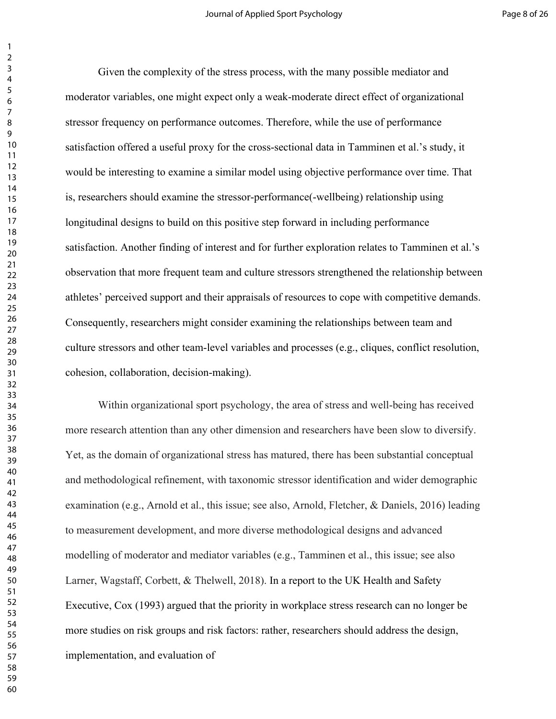Given the complexity of the stress process, with the many possible mediator and moderator variables, one might expect only a weak-moderate direct effect of organizational stressor frequency on performance outcomes. Therefore, while the use of performance satisfaction offered a useful proxy for the cross-sectional data in Tamminen et al.'s study, it would be interesting to examine a similar model using objective performance over time. That is, researchers should examine the stressor-performance(-wellbeing) relationship using longitudinal designs to build on this positive step forward in including performance satisfaction. Another finding of interest and for further exploration relates to Tamminen et al.'s observation that more frequent team and culture stressors strengthened the relationship between athletes' perceived support and their appraisals of resources to cope with competitive demands. Consequently, researchers might consider examining the relationships between team and culture stressors and other team-level variables and processes (e.g., cliques, conflict resolution, cohesion, collaboration, decision-making).

Within organizational sport psychology, the area of stress and well-being has received more research attention than any other dimension and researchers have been slow to diversify. Yet, as the domain of organizational stress has matured, there has been substantial conceptual and methodological refinement, with taxonomic stressor identification and wider demographic examination (e.g., Arnold et al., this issue; see also, Arnold, Fletcher, & Daniels, 2016) leading to measurement development, and more diverse methodological designs and advanced modelling of moderator and mediator variables (e.g., Tamminen et al., this issue; see also Larner, Wagstaff, Corbett, & Thelwell, 2018). In a report to the UK Health and Safety Executive, Cox (1993) argued that the priority in workplace stress research can no longer be more studies on risk groups and risk factors: rather, researchers should address the design, implementation, and evaluation of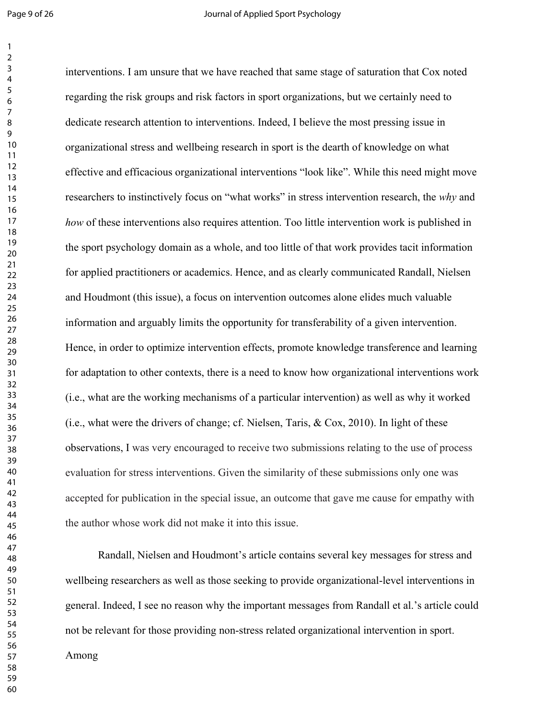interventions. I am unsure that we have reached that same stage of saturation that Cox noted regarding the risk groups and risk factors in sport organizations, but we certainly need to dedicate research attention to interventions. Indeed, I believe the most pressing issue in organizational stress and wellbeing research in sport is the dearth of knowledge on what effective and efficacious organizational interventions "look like". While this need might move researchers to instinctively focus on "what works" in stress intervention research, the *why* and *how* of these interventions also requires attention. Too little intervention work is published in the sport psychology domain as a whole, and too little of that work provides tacit information for applied practitioners or academics. Hence, and as clearly communicated Randall, Nielsen and Houdmont (this issue), a focus on intervention outcomes alone elides much valuable information and arguably limits the opportunity for transferability of a given intervention. Hence, in order to optimize intervention effects, promote knowledge transference and learning for adaptation to other contexts, there is a need to know how organizational interventions work (i.e., what are the working mechanisms of a particular intervention) as well as why it worked (i.e., what were the drivers of change; cf. Nielsen, Taris, & Cox, 2010). In light of these observations, I was very encouraged to receive two submissions relating to the use of process evaluation for stress interventions. Given the similarity of these submissions only one was accepted for publication in the special issue, an outcome that gave me cause for empathy with the author whose work did not make it into this issue.

Randall, Nielsen and Houdmont's article contains several key messages for stress and wellbeing researchers as well as those seeking to provide organizational-level interventions in general. Indeed, I see no reason why the important messages from Randall et al.'s article could not be relevant for those providing non-stress related organizational intervention in sport.

Among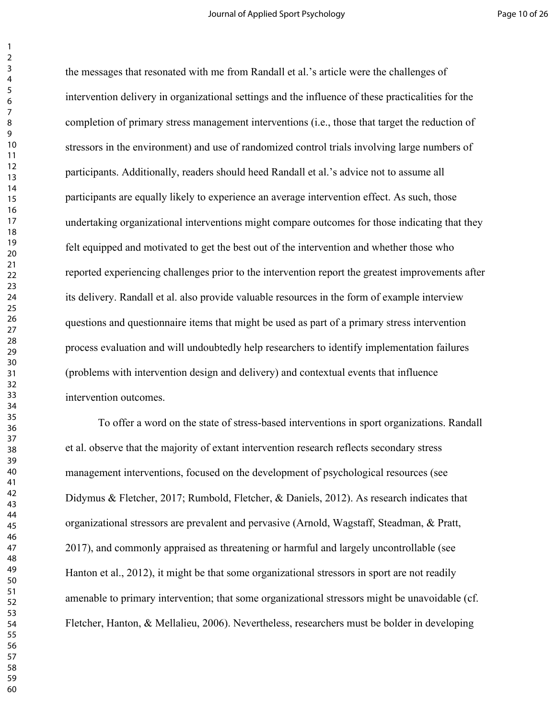the messages that resonated with me from Randall et al.'s article were the challenges of intervention delivery in organizational settings and the influence of these practicalities for the completion of primary stress management interventions (i.e., those that target the reduction of stressors in the environment) and use of randomized control trials involving large numbers of participants. Additionally, readers should heed Randall et al.'s advice not to assume all participants are equally likely to experience an average intervention effect. As such, those undertaking organizational interventions might compare outcomes for those indicating that they felt equipped and motivated to get the best out of the intervention and whether those who reported experiencing challenges prior to the intervention report the greatest improvements after its delivery. Randall et al. also provide valuable resources in the form of example interview questions and questionnaire items that might be used as part of a primary stress intervention process evaluation and will undoubtedly help researchers to identify implementation failures (problems with intervention design and delivery) and contextual events that influence intervention outcomes.

To offer a word on the state of stress-based interventions in sport organizations. Randall et al. observe that the majority of extant intervention research reflects secondary stress management interventions, focused on the development of psychological resources (see Didymus & Fletcher, 2017; Rumbold, Fletcher, & Daniels, 2012). As research indicates that organizational stressors are prevalent and pervasive (Arnold, Wagstaff, Steadman, & Pratt, 2017), and commonly appraised as threatening or harmful and largely uncontrollable (see Hanton et al., 2012), it might be that some organizational stressors in sport are not readily amenable to primary intervention; that some organizational stressors might be unavoidable (cf. Fletcher, Hanton, & Mellalieu, 2006). Nevertheless, researchers must be bolder in developing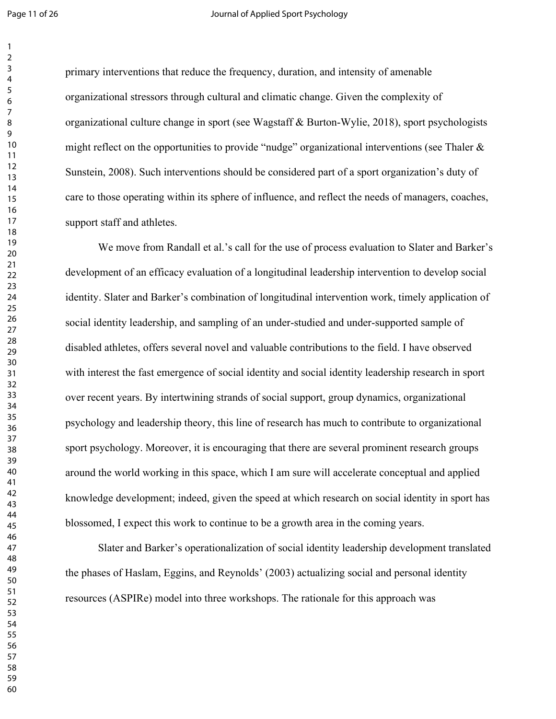#### Page 11 of 26 **Decision 20 Inc.** Journal of Applied Sport Psychology

primary interventions that reduce the frequency, duration, and intensity of amenable organizational stressors through cultural and climatic change. Given the complexity of organizational culture change in sport (see Wagstaff & Burton-Wylie, 2018), sport psychologists might reflect on the opportunities to provide "nudge" organizational interventions (see Thaler  $\&$ Sunstein, 2008). Such interventions should be considered part of a sport organization's duty of care to those operating within its sphere of influence, and reflect the needs of managers, coaches, support staff and athletes.

We move from Randall et al.'s call for the use of process evaluation to Slater and Barker's development of an efficacy evaluation of a longitudinal leadership intervention to develop social identity. Slater and Barker's combination of longitudinal intervention work, timely application of social identity leadership, and sampling of an under-studied and under-supported sample of disabled athletes, offers several novel and valuable contributions to the field. I have observed with interest the fast emergence of social identity and social identity leadership research in sport over recent years. By intertwining strands of social support, group dynamics, organizational psychology and leadership theory, this line of research has much to contribute to organizational sport psychology. Moreover, it is encouraging that there are several prominent research groups around the world working in this space, which I am sure will accelerate conceptual and applied knowledge development; indeed, given the speed at which research on social identity in sport has blossomed, I expect this work to continue to be a growth area in the coming years.

Slater and Barker's operationalization of social identity leadership development translated the phases of Haslam, Eggins, and Reynolds' (2003) actualizing social and personal identity resources (ASPIRe) model into three workshops. The rationale for this approach was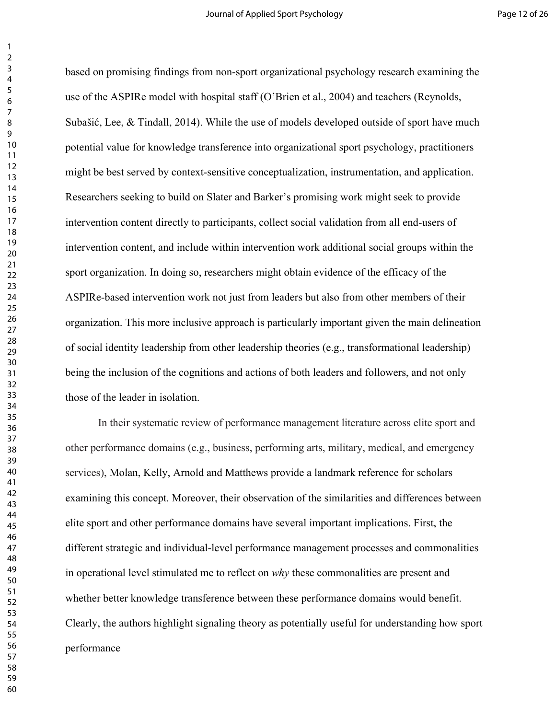based on promising findings from non-sport organizational psychology research examining the use of the ASPIRe model with hospital staff (O'Brien et al., 2004) and teachers (Reynolds, Subašić, Lee, & Tindall, 2014). While the use of models developed outside of sport have much potential value for knowledge transference into organizational sport psychology, practitioners might be best served by context-sensitive conceptualization, instrumentation, and application. Researchers seeking to build on Slater and Barker's promising work might seek to provide intervention content directly to participants, collect social validation from all end-users of intervention content, and include within intervention work additional social groups within the sport organization. In doing so, researchers might obtain evidence of the efficacy of the ASPIRe-based intervention work not just from leaders but also from other members of their organization. This more inclusive approach is particularly important given the main delineation of social identity leadership from other leadership theories (e.g., transformational leadership) being the inclusion of the cognitions and actions of both leaders and followers, and not only those of the leader in isolation.

In their systematic review of performance management literature across elite sport and other performance domains (e.g., business, performing arts, military, medical, and emergency services), Molan, Kelly, Arnold and Matthews provide a landmark reference for scholars examining this concept. Moreover, their observation of the similarities and differences between elite sport and other performance domains have several important implications. First, the different strategic and individual-level performance management processes and commonalities in operational level stimulated me to reflect on *why* these commonalities are present and whether better knowledge transference between these performance domains would benefit. Clearly, the authors highlight signaling theory as potentially useful for understanding how sport performance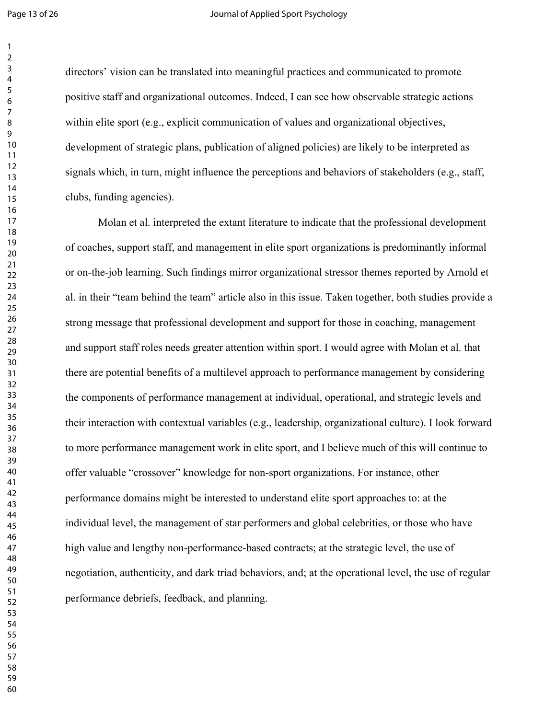#### Page 13 of 26 **Journal of Applied Sport Psychology**

directors' vision can be translated into meaningful practices and communicated to promote positive staff and organizational outcomes. Indeed, I can see how observable strategic actions within elite sport (e.g., explicit communication of values and organizational objectives, development of strategic plans, publication of aligned policies) are likely to be interpreted as signals which, in turn, might influence the perceptions and behaviors of stakeholders (e.g., staff, clubs, funding agencies).

Molan et al. interpreted the extant literature to indicate that the professional development of coaches, support staff, and management in elite sport organizations is predominantly informal or on-the-job learning. Such findings mirror organizational stressor themes reported by Arnold et al. in their "team behind the team" article also in this issue. Taken together, both studies provide a strong message that professional development and support for those in coaching, management and support staff roles needs greater attention within sport. I would agree with Molan et al. that there are potential benefits of a multilevel approach to performance management by considering the components of performance management at individual, operational, and strategic levels and their interaction with contextual variables (e.g., leadership, organizational culture). I look forward to more performance management work in elite sport, and I believe much of this will continue to offer valuable "crossover" knowledge for non-sport organizations. For instance, other performance domains might be interested to understand elite sport approaches to: at the individual level, the management of star performers and global celebrities, or those who have high value and lengthy non-performance-based contracts; at the strategic level, the use of negotiation, authenticity, and dark triad behaviors, and; at the operational level, the use of regular performance debriefs, feedback, and planning.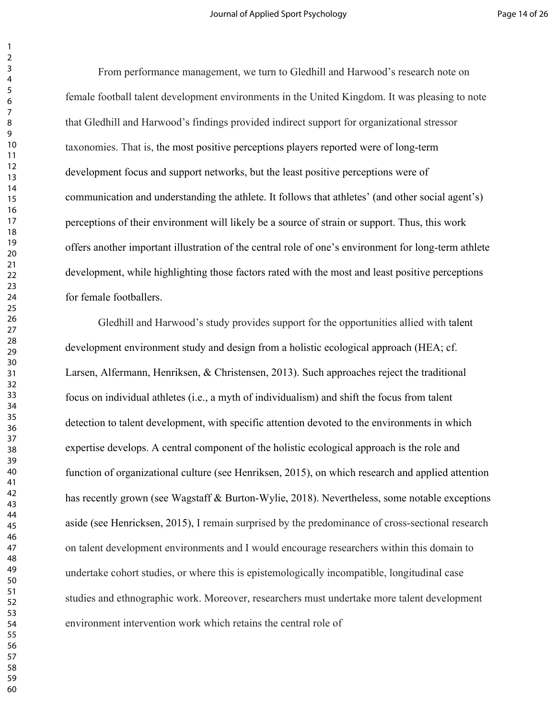From performance management, we turn to Gledhill and Harwood's research note on female football talent development environments in the United Kingdom. It was pleasing to note that Gledhill and Harwood's findings provided indirect support for organizational stressor taxonomies. That is, the most positive perceptions players reported were of long-term development focus and support networks, but the least positive perceptions were of communication and understanding the athlete. It follows that athletes' (and other social agent's) perceptions of their environment will likely be a source of strain or support. Thus, this work offers another important illustration of the central role of one's environment for long-term athlete development, while highlighting those factors rated with the most and least positive perceptions for female footballers.

Gledhill and Harwood's study provides support for the opportunities allied with talent development environment study and design from a holistic ecological approach (HEA; cf. Larsen, Alfermann, Henriksen, & Christensen, 2013). Such approaches reject the traditional focus on individual athletes (i.e., a myth of individualism) and shift the focus from talent detection to talent development, with specific attention devoted to the environments in which expertise develops. A central component of the holistic ecological approach is the role and function of organizational culture (see Henriksen, 2015), on which research and applied attention has recently grown (see Wagstaff & Burton-Wylie, 2018). Nevertheless, some notable exceptions aside (see Henricksen, 2015), I remain surprised by the predominance of cross-sectional research on talent development environments and I would encourage researchers within this domain to undertake cohort studies, or where this is epistemologically incompatible, longitudinal case studies and ethnographic work. Moreover, researchers must undertake more talent development environment intervention work which retains the central role of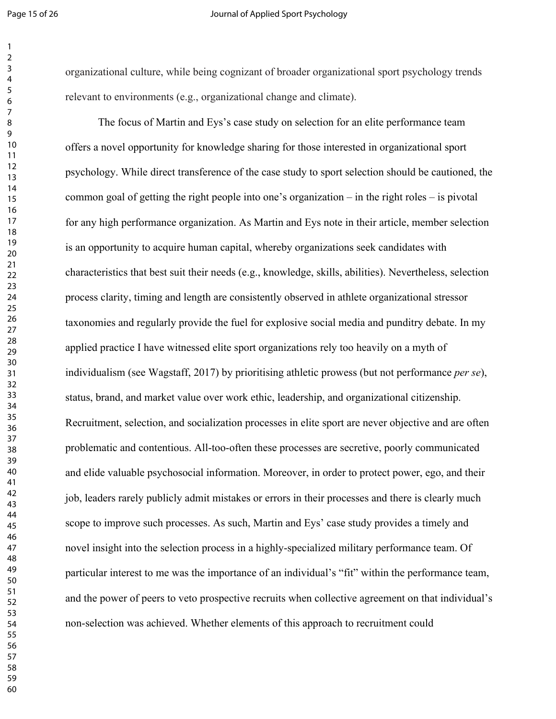#### Page 15 of 26 **Journal of Applied Sport Psychology**

organizational culture, while being cognizant of broader organizational sport psychology trends relevant to environments (e.g., organizational change and climate).

The focus of Martin and Eys's case study on selection for an elite performance team offers a novel opportunity for knowledge sharing for those interested in organizational sport psychology. While direct transference of the case study to sport selection should be cautioned, the common goal of getting the right people into one's organization – in the right roles – is pivotal for any high performance organization. As Martin and Eys note in their article, member selection is an opportunity to acquire human capital, whereby organizations seek candidates with characteristics that best suit their needs (e.g., knowledge, skills, abilities). Nevertheless, selection process clarity, timing and length are consistently observed in athlete organizational stressor taxonomies and regularly provide the fuel for explosive social media and punditry debate. In my applied practice I have witnessed elite sport organizations rely too heavily on a myth of individualism (see Wagstaff, 2017) by prioritising athletic prowess (but not performance *per se*), status, brand, and market value over work ethic, leadership, and organizational citizenship. Recruitment, selection, and socialization processes in elite sport are never objective and are often problematic and contentious. All-too-often these processes are secretive, poorly communicated and elide valuable psychosocial information. Moreover, in order to protect power, ego, and their job, leaders rarely publicly admit mistakes or errors in their processes and there is clearly much scope to improve such processes. As such, Martin and Eys' case study provides a timely and novel insight into the selection process in a highly-specialized military performance team. Of particular interest to me was the importance of an individual's "fit" within the performance team, and the power of peers to veto prospective recruits when collective agreement on that individual's non-selection was achieved. Whether elements of this approach to recruitment could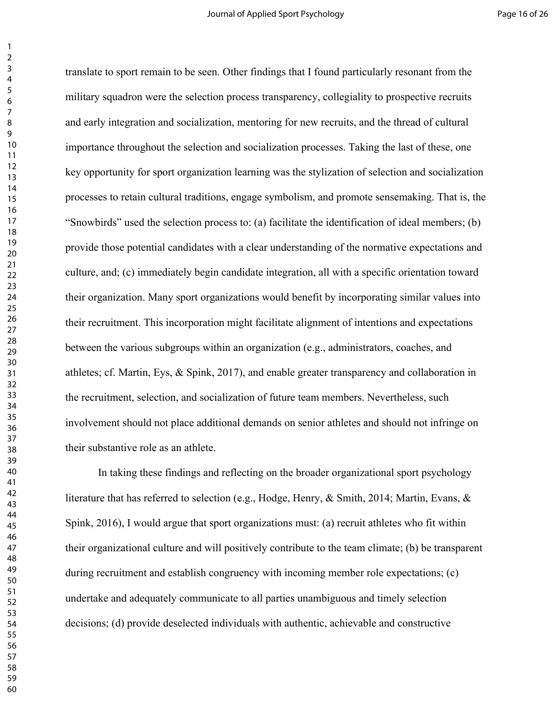translate to sport remain to be seen. Other findings that I found particularly resonant from the military squadron were the selection process transparency, collegiality to prospective recruits and early integration and socialization, mentoring for new recruits, and the thread of cultural importance throughout the selection and socialization processes. Taking the last of these, one key opportunity for sport organization learning was the stylization of selection and socialization processes to retain cultural traditions, engage symbolism, and promote sensemaking. That is, the "Snowbirds" used the selection process to: (a) facilitate the identification of ideal members; (b) provide those potential candidates with a clear understanding of the normative expectations and culture, and; (c) immediately begin candidate integration, all with a specific orientation toward their organization. Many sport organizations would benefit by incorporating similar values into their recruitment. This incorporation might facilitate alignment of intentions and expectations between the various subgroups within an organization (e.g., administrators, coaches, and athletes; cf. Martin, Eys, & Spink, 2017), and enable greater transparency and collaboration in the recruitment, selection, and socialization of future team members. Nevertheless, such involvement should not place additional demands on senior athletes and should not infringe on their substantive role as an athlete.

In taking these findings and reflecting on the broader organizational sport psychology literature that has referred to selection (e.g., Hodge, Henry, & Smith, 2014; Martin, Evans, & Spink, 2016), I would argue that sport organizations must: (a) recruit athletes who fit within their organizational culture and will positively contribute to the team climate; (b) be transparent during recruitment and establish congruency with incoming member role expectations; (c) undertake and adequately communicate to all parties unambiguous and timely selection decisions; (d) provide deselected individuals with authentic, achievable and constructive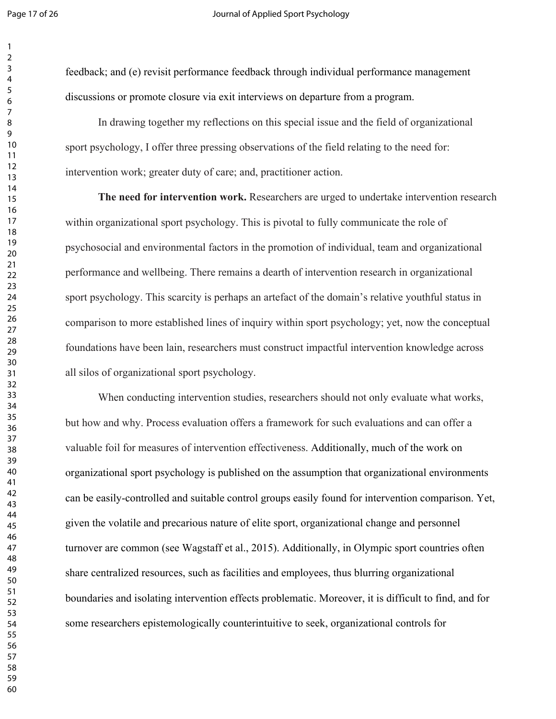feedback; and (e) revisit performance feedback through individual performance management discussions or promote closure via exit interviews on departure from a program.

In drawing together my reflections on this special issue and the field of organizational sport psychology, I offer three pressing observations of the field relating to the need for: intervention work; greater duty of care; and, practitioner action.

**The need for intervention work.** Researchers are urged to undertake intervention research within organizational sport psychology. This is pivotal to fully communicate the role of psychosocial and environmental factors in the promotion of individual, team and organizational performance and wellbeing. There remains a dearth of intervention research in organizational sport psychology. This scarcity is perhaps an artefact of the domain's relative youthful status in comparison to more established lines of inquiry within sport psychology; yet, now the conceptual foundations have been lain, researchers must construct impactful intervention knowledge across all silos of organizational sport psychology.

When conducting intervention studies, researchers should not only evaluate what works, but how and why. Process evaluation offers a framework for such evaluations and can offer a valuable foil for measures of intervention effectiveness. Additionally, much of the work on organizational sport psychology is published on the assumption that organizational environments can be easily-controlled and suitable control groups easily found for intervention comparison. Yet, given the volatile and precarious nature of elite sport, organizational change and personnel turnover are common (see Wagstaff et al., 2015). Additionally, in Olympic sport countries often share centralized resources, such as facilities and employees, thus blurring organizational boundaries and isolating intervention effects problematic. Moreover, it is difficult to find, and for some researchers epistemologically counterintuitive to seek, organizational controls for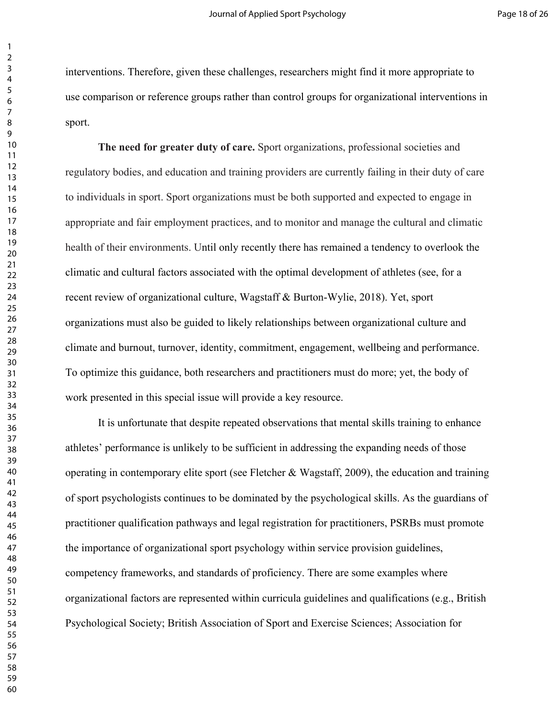interventions. Therefore, given these challenges, researchers might find it more appropriate to use comparison or reference groups rather than control groups for organizational interventions in sport.

**The need for greater duty of care.** Sport organizations, professional societies and regulatory bodies, and education and training providers are currently failing in their duty of care to individuals in sport. Sport organizations must be both supported and expected to engage in appropriate and fair employment practices, and to monitor and manage the cultural and climatic health of their environments. Until only recently there has remained a tendency to overlook the climatic and cultural factors associated with the optimal development of athletes (see, for a recent review of organizational culture, Wagstaff & Burton-Wylie, 2018). Yet, sport organizations must also be guided to likely relationships between organizational culture and climate and burnout, turnover, identity, commitment, engagement, wellbeing and performance. To optimize this guidance, both researchers and practitioners must do more; yet, the body of work presented in this special issue will provide a key resource.

It is unfortunate that despite repeated observations that mental skills training to enhance athletes' performance is unlikely to be sufficient in addressing the expanding needs of those operating in contemporary elite sport (see Fletcher & Wagstaff, 2009), the education and training of sport psychologists continues to be dominated by the psychological skills. As the guardians of practitioner qualification pathways and legal registration for practitioners, PSRBs must promote the importance of organizational sport psychology within service provision guidelines, competency frameworks, and standards of proficiency. There are some examples where organizational factors are represented within curricula guidelines and qualifications (e.g., British Psychological Society; British Association of Sport and Exercise Sciences; Association for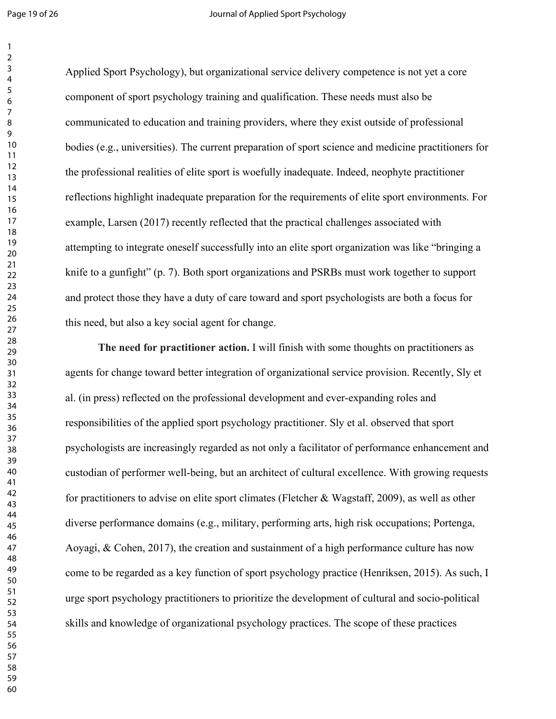#### Page 19 of 26 **Journal of Applied Sport Psychology**

Applied Sport Psychology), but organizational service delivery competence is not yet a core component of sport psychology training and qualification. These needs must also be communicated to education and training providers, where they exist outside of professional bodies (e.g., universities). The current preparation of sport science and medicine practitioners for the professional realities of elite sport is woefully inadequate. Indeed, neophyte practitioner reflections highlight inadequate preparation for the requirements of elite sport environments. For example, Larsen (2017) recently reflected that the practical challenges associated with attempting to integrate oneself successfully into an elite sport organization was like "bringing a knife to a gunfight" (p. 7). Both sport organizations and PSRBs must work together to support and protect those they have a duty of care toward and sport psychologists are both a focus for this need, but also a key social agent for change.

**The need for practitioner action.** I will finish with some thoughts on practitioners as agents for change toward better integration of organizational service provision. Recently, Sly et al. (in press) reflected on the professional development and ever-expanding roles and responsibilities of the applied sport psychology practitioner. Sly et al. observed that sport psychologists are increasingly regarded as not only a facilitator of performance enhancement and custodian of performer well-being, but an architect of cultural excellence. With growing requests for practitioners to advise on elite sport climates (Fletcher & Wagstaff, 2009), as well as other diverse performance domains (e.g., military, performing arts, high risk occupations; Portenga, Aoyagi, & Cohen, 2017), the creation and sustainment of a high performance culture has now come to be regarded as a key function of sport psychology practice (Henriksen, 2015). As such, I urge sport psychology practitioners to prioritize the development of cultural and socio-political skills and knowledge of organizational psychology practices. The scope of these practices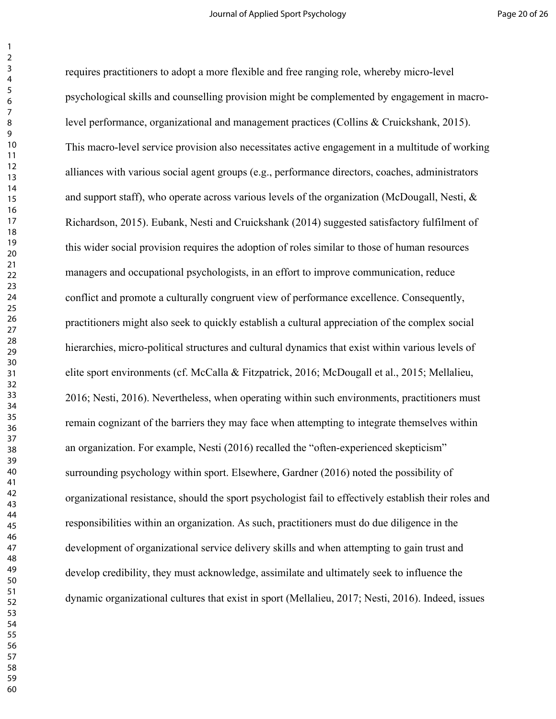requires practitioners to adopt a more flexible and free ranging role, whereby micro-level psychological skills and counselling provision might be complemented by engagement in macrolevel performance, organizational and management practices (Collins & Cruickshank, 2015). This macro-level service provision also necessitates active engagement in a multitude of working alliances with various social agent groups (e.g., performance directors, coaches, administrators and support staff), who operate across various levels of the organization (McDougall, Nesti, & Richardson, 2015). Eubank, Nesti and Cruickshank (2014) suggested satisfactory fulfilment of this wider social provision requires the adoption of roles similar to those of human resources managers and occupational psychologists, in an effort to improve communication, reduce conflict and promote a culturally congruent view of performance excellence. Consequently, practitioners might also seek to quickly establish a cultural appreciation of the complex social hierarchies, micro-political structures and cultural dynamics that exist within various levels of elite sport environments (cf. McCalla & Fitzpatrick, 2016; McDougall et al., 2015; Mellalieu, 2016; Nesti, 2016). Nevertheless, when operating within such environments, practitioners must remain cognizant of the barriers they may face when attempting to integrate themselves within an organization. For example, Nesti (2016) recalled the "often-experienced skepticism" surrounding psychology within sport. Elsewhere, Gardner (2016) noted the possibility of organizational resistance, should the sport psychologist fail to effectively establish their roles and responsibilities within an organization. As such, practitioners must do due diligence in the development of organizational service delivery skills and when attempting to gain trust and develop credibility, they must acknowledge, assimilate and ultimately seek to influence the dynamic organizational cultures that exist in sport (Mellalieu, 2017; Nesti, 2016). Indeed, issues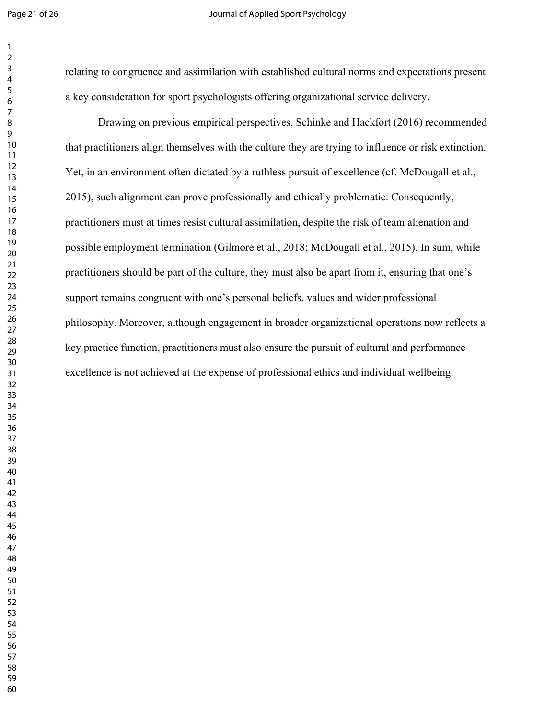### Page 21 of 26 **Journal of Applied Sport Psychology**

relating to congruence and assimilation with established cultural norms and expectations present a key consideration for sport psychologists offering organizational service delivery.

Drawing on previous empirical perspectives, Schinke and Hackfort (2016) recommended that practitioners align themselves with the culture they are trying to influence or risk extinction. Yet, in an environment often dictated by a ruthless pursuit of excellence (cf. McDougall et al., 2015), such alignment can prove professionally and ethically problematic. Consequently, practitioners must at times resist cultural assimilation, despite the risk of team alienation and possible employment termination (Gilmore et al., 2018; McDougall et al., 2015). In sum, while practitioners should be part of the culture, they must also be apart from it, ensuring that one's support remains congruent with one's personal beliefs, values and wider professional philosophy. Moreover, although engagement in broader organizational operations now reflects a key practice function, practitioners must also ensure the pursuit of cultural and performance excellence is not achieved at the expense of professional ethics and individual wellbeing.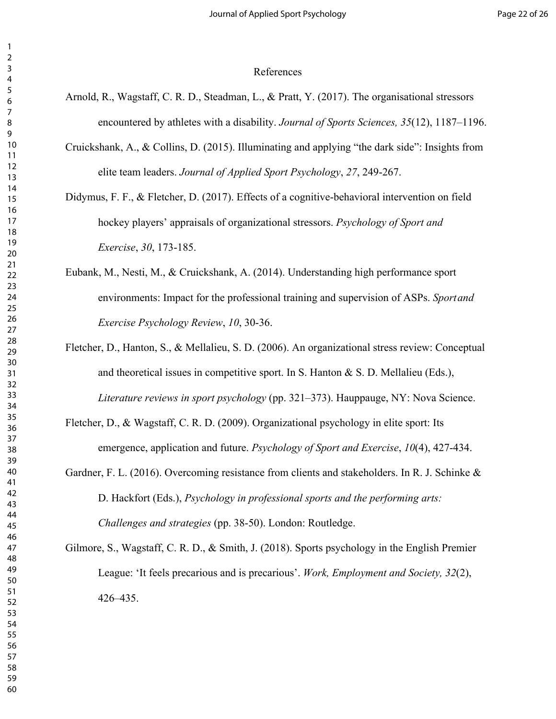#### References

- Arnold, R., Wagstaff, C. R. D., Steadman, L., & Pratt, Y. (2017). The organisational stressors encountered by athletes with a disability. *Journal of Sports Sciences, 35*(12), 1187–1196.
- Cruickshank, A., & Collins, D. (2015). Illuminating and applying "the dark side": Insights from elite team leaders. *Journal of Applied Sport Psychology*, *27*, 249-267.
- Didymus, F. F., & Fletcher, D. (2017). Effects of a cognitive-behavioral intervention on field hockey players' appraisals of organizational stressors. *Psychology of Sport and Exercise*, *30*, 173-185.
- Eubank, M., Nesti, M., & Cruickshank, A. (2014). Understanding high performance sport environments: Impact for the professional training and supervision of ASPs. *Sportand Exercise Psychology Review*, *10*, 30-36.
- Fletcher, D., Hanton, S., & Mellalieu, S. D. (2006). An organizational stress review: Conceptual and theoretical issues in competitive sport. In S. Hanton  $\& S$ . D. Mellalieu (Eds.), *Literature reviews in sport psychology* (pp. 321–373). Hauppauge, NY: Nova Science.
- Fletcher, D., & Wagstaff, C. R. D. (2009). Organizational psychology in elite sport: Its emergence, application and future. *Psychology of Sport and Exercise*, *10*(4), 427-434.
- Gardner, F. L. (2016). Overcoming resistance from clients and stakeholders. In R. J. Schinke & D. Hackfort (Eds.), *Psychology in professional sports and the performing arts: Challenges and strategies* (pp. 38-50). London: Routledge.

Gilmore, S., Wagstaff, C. R. D., & Smith, J. (2018). Sports psychology in the English Premier League: 'It feels precarious and is precarious'. *Work, Employment and Society, 32*(2), 426–435.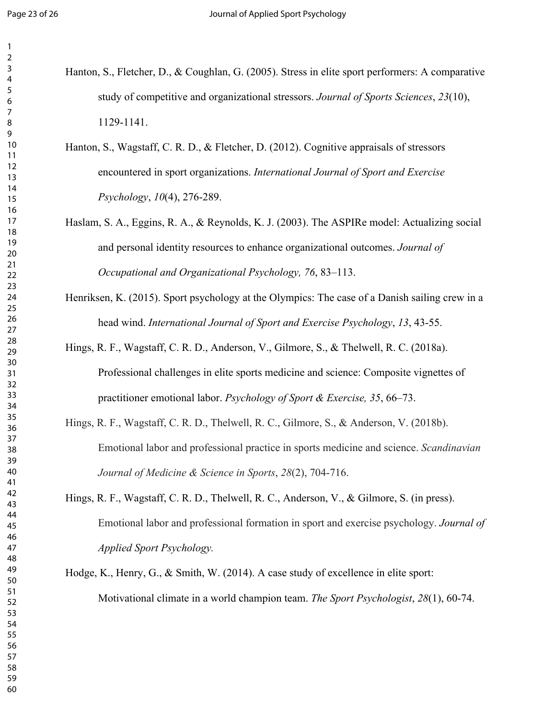- Hanton, S., Fletcher, D., & Coughlan, G. (2005). Stress in elite sport performers: A comparative study of competitive and organizational stressors. *Journal of Sports Sciences*, *23*(10), 1129-1141.
	- Hanton, S., Wagstaff, C. R. D., & Fletcher, D. (2012). Cognitive appraisals of stressors encountered in sport organizations. *International Journal of Sport and Exercise Psychology*, *10*(4), 276-289.
	- Haslam, S. A., Eggins, R. A., & Reynolds, K. J. (2003). The ASPIRe model: Actualizing social and personal identity resources to enhance organizational outcomes. *Journal of Occupational and Organizational Psychology, 76*, 83–113.
	- Henriksen, K. (2015). Sport psychology at the Olympics: The case of a Danish sailing crew in a head wind. *International Journal of Sport and Exercise Psychology*, *13*, 43-55.
	- Hings, R. F., Wagstaff, C. R. D., Anderson, V., Gilmore, S., & Thelwell, R. C. (2018a). Professional challenges in elite sports medicine and science: Composite vignettes of practitioner emotional labor. *Psychology of Sport & Exercise, 35*, 66–73.
	- Hings, R. F., Wagstaff, C. R. D., Thelwell, R. C., Gilmore, S., & Anderson, V. (2018b). Emotional labor and professional practice in sports medicine and science. *Scandinavian Journal of Medicine & Science in Sports*, *28*(2), 704-716.
	- Hings, R. F., Wagstaff, C. R. D., Thelwell, R. C., Anderson, V., & Gilmore, S. (in press). Emotional labor and professional formation in sport and exercise psychology. *Journal of Applied Sport Psychology.*
	- Hodge, K., Henry, G., & Smith, W. (2014). A case study of excellence in elite sport: Motivational climate in a world champion team. *The Sport Psychologist*, *28*(1), 60-74.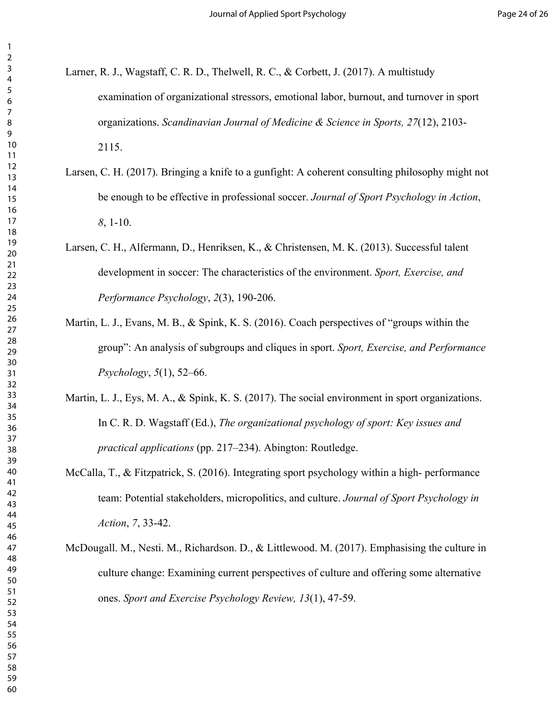- Larner, R. J., Wagstaff, C. R. D., Thelwell, R. C., & Corbett, J. (2017). A multistudy examination of organizational stressors, emotional labor, burnout, and turnover in sport organizations. *Scandinavian Journal of Medicine & Science in Sports, 27*(12), 2103- 2115.
	- Larsen, C. H. (2017). Bringing a knife to a gunfight: A coherent consulting philosophy might not be enough to be effective in professional soccer. *Journal of Sport Psychology in Action*, , 1-10.
	- Larsen, C. H., Alfermann, D., Henriksen, K., & Christensen, M. K. (2013). Successful talent development in soccer: The characteristics of the environment. *Sport, Exercise, and Performance Psychology*, *2*(3), 190-206.
	- Martin, L. J., Evans, M. B., & Spink, K. S. (2016). Coach perspectives of "groups within the group": An analysis of subgroups and cliques in sport. *Sport, Exercise, and Performance Psychology*, *5*(1), 52–66.
	- Martin, L. J., Eys, M. A., & Spink, K. S. (2017). The social environment in sport organizations. In C. R. D. Wagstaff (Ed.), *The organizational psychology of sport: Key issues and practical applications* (pp. 217–234). Abington: Routledge.
- McCalla, T., & Fitzpatrick, S. (2016). Integrating sport psychology within a high- performance team: Potential stakeholders, micropolitics, and culture. *Journal of Sport Psychology in Action*, *7*, 33-42.
- McDougall. M., Nesti. M., Richardson. D., & Littlewood. M. (2017). Emphasising the culture in culture change: Examining current perspectives of culture and offering some alternative ones. *Sport and Exercise Psychology Review, 13*(1), 47-59.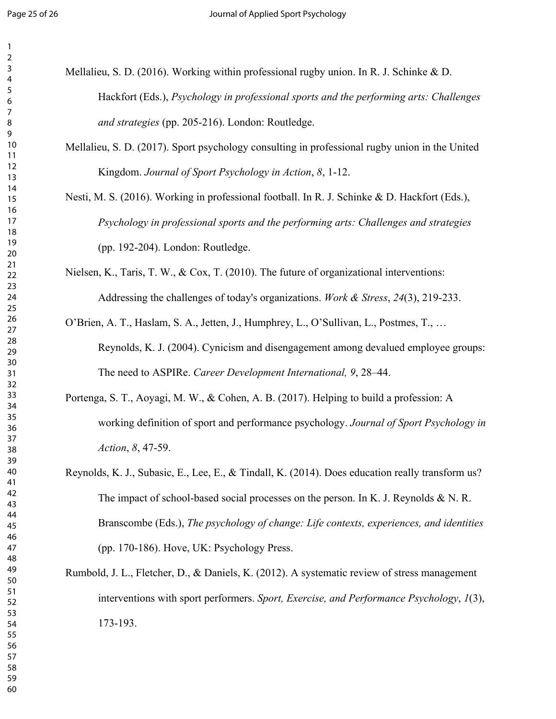| Mellalieu, S. D. (2016). Working within professional rugby union. In R. J. Schinke & D.       |
|-----------------------------------------------------------------------------------------------|
| Hackfort (Eds.), <i>Psychology in professional sports and the performing arts: Challenges</i> |
| <i>and strategies</i> (pp. 205-216). London: Routledge.                                       |

- Mellalieu, S. D. (2017). Sport psychology consulting in professional rugby union in the United Kingdom. *Journal of Sport Psychology in Action*, *8*, 1-12.
- Nesti, M. S. (2016). Working in professional football. In R. J. Schinke & D. Hackfort (Eds.), *Psychology in professional sports and the performing arts: Challenges and strategies* (pp. 192-204). London: Routledge.
- Nielsen, K., Taris, T. W., & Cox, T. (2010). The future of organizational interventions: Addressing the challenges of today's organizations. *Work & Stress*, *24*(3), 219-233.
- O'Brien, A. T., Haslam, S. A., Jetten, J., Humphrey, L., O'Sullivan, L., Postmes, T., … Reynolds, K. J. (2004). Cynicism and disengagement among devalued employee groups: The need to ASPIRe. *Career Development International, 9*, 28–44.
- Portenga, S. T., Aoyagi, M. W., & Cohen, A. B. (2017). Helping to build a profession: A working definition of sport and performance psychology. *Journal of Sport Psychology in Action*, *8*, 47-59.
- Reynolds, K. J., Subasic, E., Lee, E., & Tindall, K. (2014). Does education really transform us? The impact of school-based social processes on the person. In K. J. Reynolds & N. R. Branscombe (Eds.), *The psychology of change: Life contexts, experiences, and identities*  (pp. 170-186). Hove, UK: Psychology Press.
- Rumbold, J. L., Fletcher, D., & Daniels, K. (2012). A systematic review of stress management interventions with sport performers. *Sport, Exercise, and Performance Psychology*, *1*(3), 173-193.